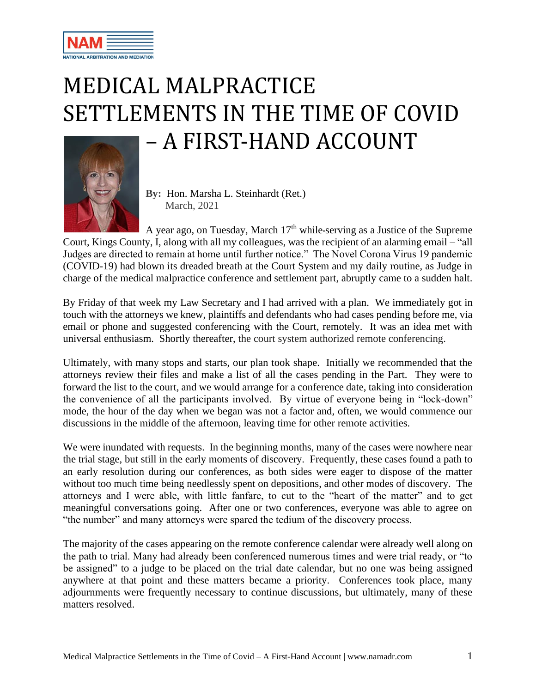

## MEDICAL MALPRACTICE SETTLEMENTS IN THE TIME OF COVID – A FIRST-HAND ACCOUNT



**By:** Hon. Marsha L. Steinhardt (Ret.) March, 2021

A year ago, on Tuesday, March  $17<sup>th</sup>$  while-serving as a Justice of the Supreme Court, Kings County, I, along with all my colleagues, was the recipient of an alarming email – "all Judges are directed to remain at home until further notice." The Novel Corona Virus 19 pandemic (COVID-19) had blown its dreaded breath at the Court System and my daily routine, as Judge in charge of the medical malpractice conference and settlement part, abruptly came to a sudden halt.

By Friday of that week my Law Secretary and I had arrived with a plan. We immediately got in touch with the attorneys we knew, plaintiffs and defendants who had cases pending before me, via email or phone and suggested conferencing with the Court, remotely. It was an idea met with universal enthusiasm. Shortly thereafter, the court system authorized remote conferencing.

Ultimately, with many stops and starts, our plan took shape. Initially we recommended that the attorneys review their files and make a list of all the cases pending in the Part. They were to forward the list to the court, and we would arrange for a conference date, taking into consideration the convenience of all the participants involved. By virtue of everyone being in "lock-down" mode, the hour of the day when we began was not a factor and, often, we would commence our discussions in the middle of the afternoon, leaving time for other remote activities.

We were inundated with requests. In the beginning months, many of the cases were nowhere near the trial stage, but still in the early moments of discovery. Frequently, these cases found a path to an early resolution during our conferences, as both sides were eager to dispose of the matter without too much time being needlessly spent on depositions, and other modes of discovery. The attorneys and I were able, with little fanfare, to cut to the "heart of the matter" and to get meaningful conversations going. After one or two conferences, everyone was able to agree on "the number" and many attorneys were spared the tedium of the discovery process.

The majority of the cases appearing on the remote conference calendar were already well along on the path to trial. Many had already been conferenced numerous times and were trial ready, or "to be assigned" to a judge to be placed on the trial date calendar, but no one was being assigned anywhere at that point and these matters became a priority. Conferences took place, many adjournments were frequently necessary to continue discussions, but ultimately, many of these matters resolved.